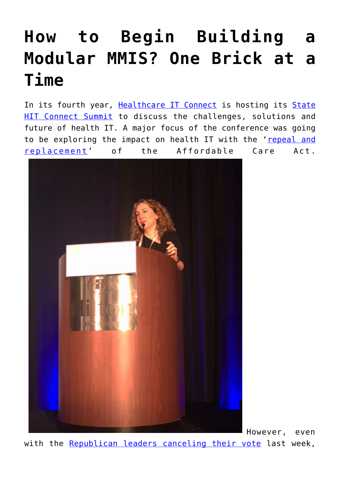## **[How to Begin Building a](https://www.cns-inc.com/insights/thought-leadership/how-to-begin-building-a-modular-mmis-one-brick-at-a-time/) [Modular MMIS? One Brick at a](https://www.cns-inc.com/insights/thought-leadership/how-to-begin-building-a-modular-mmis-one-brick-at-a-time/) [Time](https://www.cns-inc.com/insights/thought-leadership/how-to-begin-building-a-modular-mmis-one-brick-at-a-time/)**

In its fourth year, [Healthcare IT Connect](http://www.healthcareitconnect.com/) is hosting its [State](http://www.healthcareitconnect.com/2017-state-healthcare-it-connect-summit/) [HIT Connect Summit](http://www.healthcareitconnect.com/2017-state-healthcare-it-connect-summit/) to discuss the challenges, solutions and future of health IT. A major focus of the conference was going to be exploring the impact on health IT with the ['repeal and](http://healthaffairs.org/blog/2017/03/07/examining-the-house-republican-aca-repeal-and-replace-legislation/) [replacement'](http://healthaffairs.org/blog/2017/03/07/examining-the-house-republican-aca-repeal-and-replace-legislation/) of the Affordable Care Act.



However, even with the [Republican leaders canceling their vote](https://www.nytimes.com/2017/03/24/us/politics/health-care-affordable-care-act.html?_r=1) last week,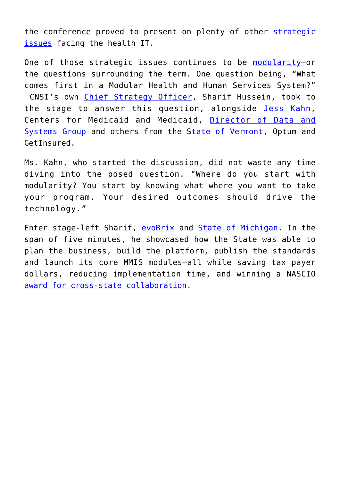the conference proved to present on plenty of other [strategic](http://www.healthcareitconnect.com/2017-state-healthcare-it-connect-summit/) [issues](http://www.healthcareitconnect.com/2017-state-healthcare-it-connect-summit/) facing the health IT.

One of those strategic issues continues to be modularity-or the questions surrounding the term. One question being, "What comes first in a Modular Health and Human Services System?" CNSI's own [Chief Strategy Officer,](https://www.cns-inc.com/news-and-press/press/cnsi%E2%80%99s-sharif-hussein-appointed-board-directors-named-chief-strategy-officer) Sharif Hussein, took to the stage to answer this question, alongside [Jess Kahn,](https://twitter.com/JessPKahn) Centers for Medicaid and Medicaid, [Director of Data and](https://www.medicaid.gov/medicaid/data-and-systems/) [Systems Group](https://www.medicaid.gov/medicaid/data-and-systems/) and others from the [State of Vermont,](http://www.vermont.gov/portal/health/) Optum and GetInsured.

Ms. Kahn, who started the discussion, did not waste any time diving into the posed question. "Where do you start with modularity? You start by knowing what where you want to take your program. Your desired outcomes should drive the technology."

Enter stage-left Sharif, [evoBrix a](https://www.cns-inc.com/evobrix)nd [State of Michigan.](http://www.michigan.gov/mdhhs/) In the span of five minutes, he showcased how the State was able to plan the business, build the platform, publish the standards and launch its core MMIS modules—all while saving tax payer dollars, reducing implementation time, and winning a NASCIO [award for cross-state collaboration.](https://www.cns-inc.com/news-and-press/news/michigan-dhhs-wins-2016-nascio-award)